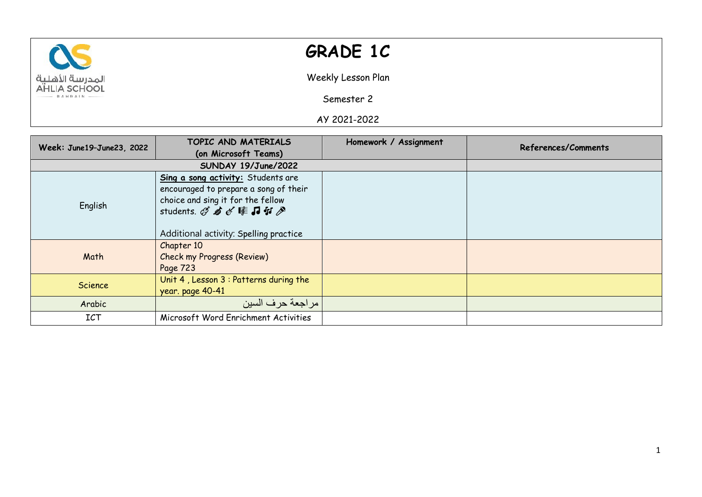

## **GRADE 1C**

Weekly Lesson Plan

Semester 2

AY 2021-2022

| Week: June19-June23, 2022 | TOPIC AND MATERIALS                                                                                                                                                              | Homework / Assignment | References/Comments |
|---------------------------|----------------------------------------------------------------------------------------------------------------------------------------------------------------------------------|-----------------------|---------------------|
|                           | (on Microsoft Teams)                                                                                                                                                             |                       |                     |
|                           | SUNDAY 19/June/2022                                                                                                                                                              |                       |                     |
| English                   | Sing a song activity: Students are<br>encouraged to prepare a song of their<br>choice and sing it for the fellow<br>students. Q 右《睦日引》<br>Additional activity: Spelling practice |                       |                     |
| Math                      | Chapter 10<br><b>Check my Progress (Review)</b><br>Page 723                                                                                                                      |                       |                     |
| <b>Science</b>            | Unit 4, Lesson 3 : Patterns during the<br>year. page 40-41                                                                                                                       |                       |                     |
| Arabic                    | مر اجعة حر ف السين                                                                                                                                                               |                       |                     |
| <b>ICT</b>                | Microsoft Word Enrichment Activities                                                                                                                                             |                       |                     |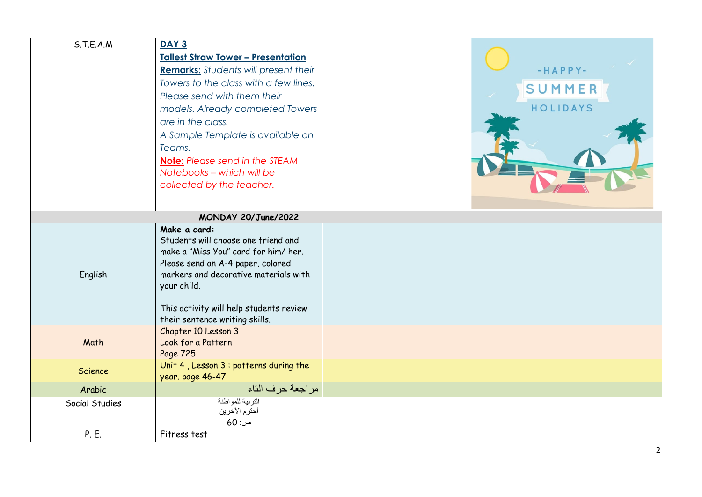| S.T.E.A.M      | <b>DAY 3</b><br><b>Tallest Straw Tower - Presentation</b><br><b>Remarks:</b> Students will present their<br>Towers to the class with a few lines.<br>Please send with them their<br>models. Already completed Towers<br>are in the class.<br>A Sample Template is available on<br>Teams.<br><b>Note:</b> Please send in the STEAM<br>Notebooks - which will be<br>collected by the teacher. | $-HAPPY-$<br>SUMMER<br>HOLIDAYS |
|----------------|---------------------------------------------------------------------------------------------------------------------------------------------------------------------------------------------------------------------------------------------------------------------------------------------------------------------------------------------------------------------------------------------|---------------------------------|
|                | MONDAY 20/June/2022                                                                                                                                                                                                                                                                                                                                                                         |                                 |
| English        | Make a card:<br>Students will choose one friend and<br>make a "Miss You" card for him/her.<br>Please send an A-4 paper, colored<br>markers and decorative materials with<br>your child.<br>This activity will help students review<br>their sentence writing skills.                                                                                                                        |                                 |
| Math           | Chapter 10 Lesson 3<br>Look for a Pattern<br>Page 725                                                                                                                                                                                                                                                                                                                                       |                                 |
| Science        | Unit 4, Lesson 3 : patterns during the<br>year. page 46-47                                                                                                                                                                                                                                                                                                                                  |                                 |
| Arabic         | مر اجعة حر ف الثاء                                                                                                                                                                                                                                                                                                                                                                          |                                 |
| Social Studies | التربية للمواطنة<br>أحترم الأخرين<br>ص: 60                                                                                                                                                                                                                                                                                                                                                  |                                 |
| P. E.          | Fitness test                                                                                                                                                                                                                                                                                                                                                                                |                                 |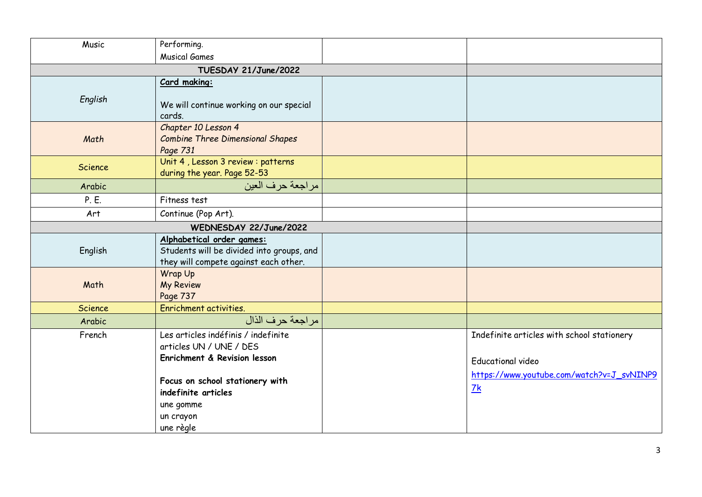| Music   | Performing.                                                                                                     |                                                                                                                     |
|---------|-----------------------------------------------------------------------------------------------------------------|---------------------------------------------------------------------------------------------------------------------|
|         | <b>Musical Games</b>                                                                                            |                                                                                                                     |
|         | TUESDAY 21/June/2022                                                                                            |                                                                                                                     |
|         | Card making:                                                                                                    |                                                                                                                     |
| English | We will continue working on our special<br>cards.                                                               |                                                                                                                     |
| Math    | Chapter 10 Lesson 4<br><b>Combine Three Dimensional Shapes</b><br>Page 731                                      |                                                                                                                     |
| Science | Unit 4, Lesson 3 review : patterns<br>during the year. Page 52-53                                               |                                                                                                                     |
| Arabic  | مراجعة حرف العين                                                                                                |                                                                                                                     |
| P. E.   | Fitness test                                                                                                    |                                                                                                                     |
| Art     | Continue (Pop Art).                                                                                             |                                                                                                                     |
|         | WEDNESDAY 22/June/2022                                                                                          |                                                                                                                     |
| English | Alphabetical order games:<br>Students will be divided into groups, and<br>they will compete against each other. |                                                                                                                     |
| Math    | Wrap Up<br><b>My Review</b><br>Page 737                                                                         |                                                                                                                     |
| Science | Enrichment activities.                                                                                          |                                                                                                                     |
| Arabic  | مر اجعة حر ف الذال                                                                                              |                                                                                                                     |
| French  | Les articles indéfinis / indefinite<br>articles UN / UNE / DES<br>Enrichment & Revision lesson                  | Indefinite articles with school stationery<br><b>Educational video</b><br>https://www.youtube.com/watch?v=J_svNINP9 |
|         | Focus on school stationery with<br>indefinite articles<br>une gomme<br>un crayon<br>une règle                   | 7k                                                                                                                  |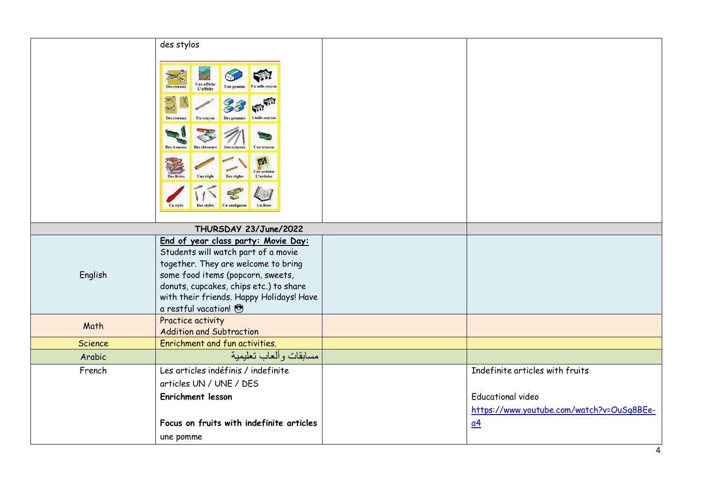|         | des stylos                                                                                                                                                                                                                                                                              |                                           |
|---------|-----------------------------------------------------------------------------------------------------------------------------------------------------------------------------------------------------------------------------------------------------------------------------------------|-------------------------------------------|
|         | Une affiche<br>Des ciseaux<br>L'affiche<br>Des ciseaux<br>Un crave<br>50<br><b>Une trousse</b><br>Des trousses<br><b>Des crayons</b><br>exa<br>Une ardoise<br><b>Des livres</b><br>Des règles<br>L'ardoise<br>Une règl<br>X<br>V<br>Un surligneur<br>Un livre<br>Des stylos<br>Un style |                                           |
|         | THURSDAY 23/June/2022                                                                                                                                                                                                                                                                   |                                           |
| English | End of year class party: Movie Day:<br>Students will watch part of a movie<br>together. They are welcome to bring<br>some food items (popcorn, sweets,<br>donuts, cupcakes, chips etc.) to share<br>with their friends. Happy Holidays! Have<br>a restful vacation!                     |                                           |
| Math    | Practice activity                                                                                                                                                                                                                                                                       |                                           |
| Science | <b>Addition and Subtraction</b><br>Enrichment and fun activities.                                                                                                                                                                                                                       |                                           |
| Arabic  | مسابقات وألعاب تعليمية                                                                                                                                                                                                                                                                  |                                           |
| French  | Les articles indéfinis / indefinite                                                                                                                                                                                                                                                     | Indefinite articles with fruits           |
|         | articles UN / UNE / DES                                                                                                                                                                                                                                                                 |                                           |
|         | Enrichment lesson                                                                                                                                                                                                                                                                       | <b>Educational video</b>                  |
|         |                                                                                                                                                                                                                                                                                         | https://www.youtube.com/watch?v=OuSq8BEe- |
|         | Focus on fruits with indefinite articles                                                                                                                                                                                                                                                | $\underline{\alpha 4}$                    |
|         | une pomme                                                                                                                                                                                                                                                                               |                                           |